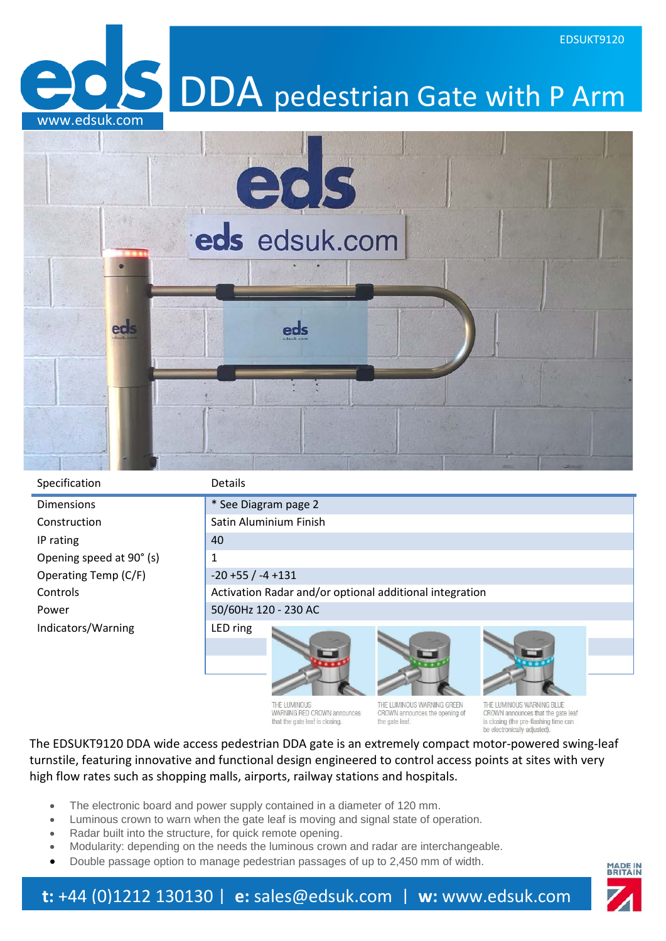

Specification Details

Dimensions **but a strategier of the See Diagram page 2** Construction Satin Aluminium Finish IP rating 140 Opening speed at  $90^{\circ}$  (s) 1 Operating Temp  $(C/F)$   $-20 +55 / -4 +131$ Power 30/60Hz 120 - 230 AC Indicators/Warning LED ring



Controls **Activation Radar and/or optional additional integration** 





THE LUMINOUS WARNING RED CROWN announces that the gate leaf is closing

THE I HMINOHS WARNING GREEN CROWN announces the opening of the gate leaf

THE I HMINOHS WARNING BLUE CROWN announces that the gate leaf is closing (the pre-flashing time can be electronically adjusted

EDSUKT9120

The EDSUKT9120 DDA wide access pedestrian DDA gate is an extremely compact motor-powered swing-leaf turnstile, featuring innovative and functional design engineered to control access points at sites with very high flow rates such as shopping malls, airports, railway stations and hospitals.

- The electronic board and power supply contained in a diameter of 120 mm.
- Luminous crown to warn when the gate leaf is moving and signal state of operation.
- Radar built into the structure, for quick remote opening.
- Modularity: depending on the needs the luminous crown and radar are interchangeable.
- Double passage option to manage pedestrian passages of up to 2,450 mm of width.

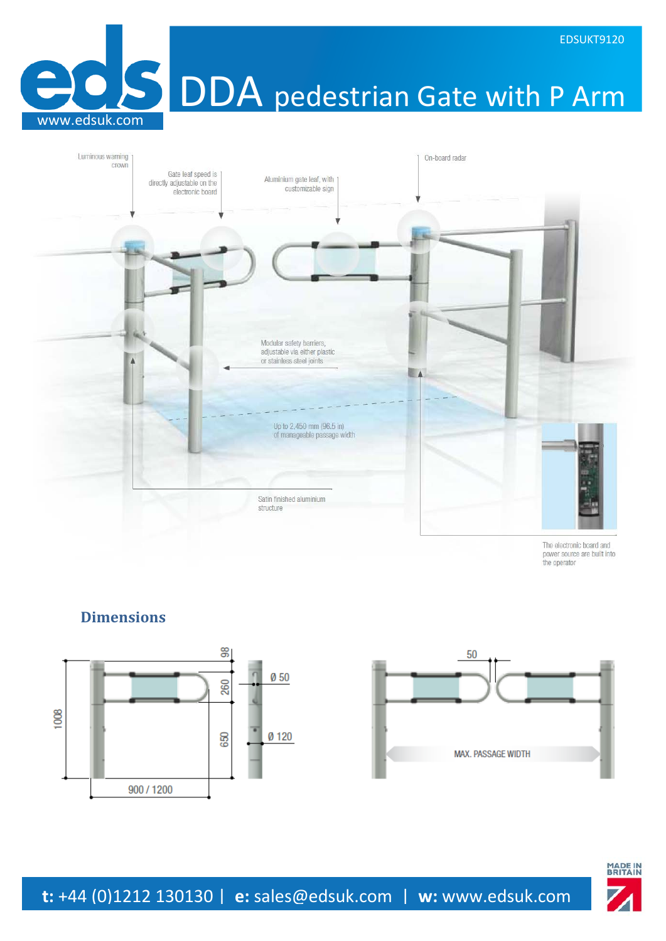**OS DDA** pedestrian Gate with P Arm



The electronic board and power source are built into the operator

## **Dimensions**

www.edsuk.com